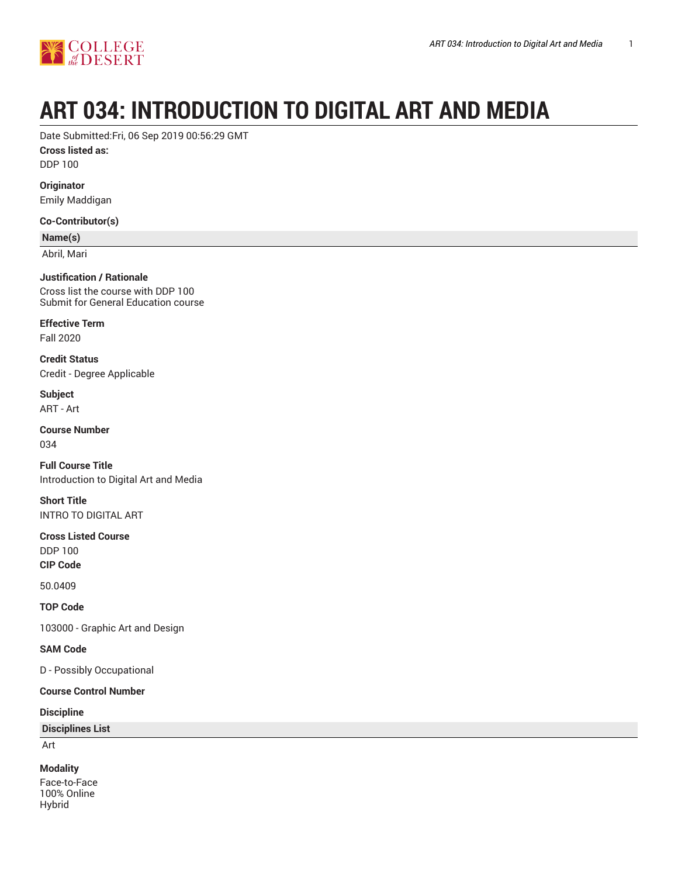

# **ART 034: INTRODUCTION TO DIGITAL ART AND MEDIA**

Date Submitted:Fri, 06 Sep 2019 00:56:29 GMT

**Cross listed as:**

DDP 100

**Originator** Emily Maddigan

**Co-Contributor(s)**

**Name(s)**

Abril, Mari

**Justification / Rationale** Cross list the course with DDP 100 Submit for General Education course

**Effective Term** Fall 2020

**Credit Status** Credit - Degree Applicable

**Subject** ART - Art

**Course Number** 034

**Full Course Title** Introduction to Digital Art and Media

**Short Title** INTRO TO DIGITAL ART

**Cross Listed Course**

DDP 100

**CIP Code**

50.0409

**TOP Code**

103000 - Graphic Art and Design

**SAM Code**

D - Possibly Occupational

#### **Course Control Number**

**Discipline**

**Disciplines List**

Art

#### **Modality**

Face-to-Face 100% Online Hybrid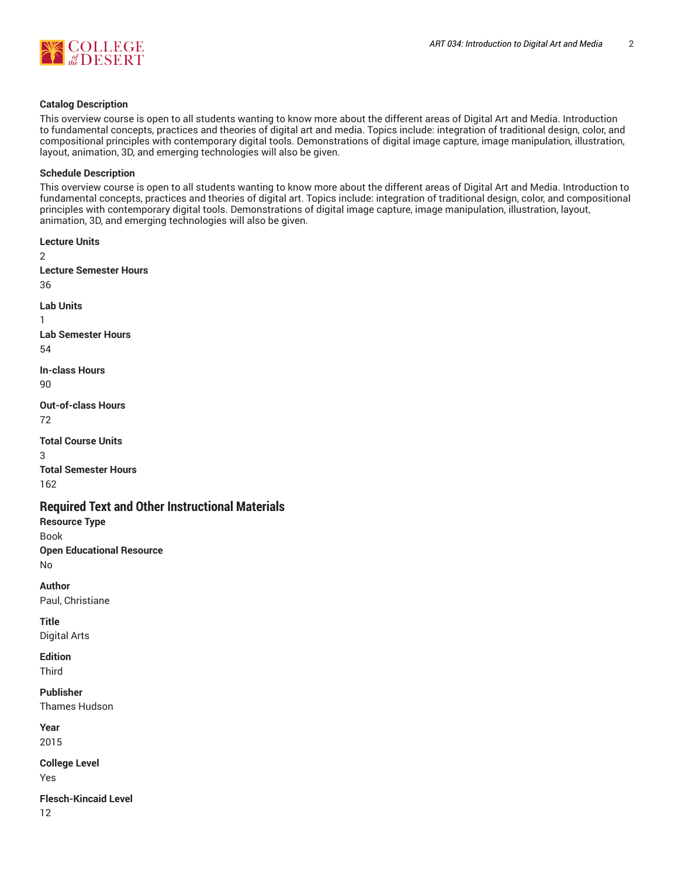

#### **Catalog Description**

This overview course is open to all students wanting to know more about the different areas of Digital Art and Media. Introduction to fundamental concepts, practices and theories of digital art and media. Topics include: integration of traditional design, color, and compositional principles with contemporary digital tools. Demonstrations of digital image capture, image manipulation, illustration, layout, animation, 3D, and emerging technologies will also be given.

#### **Schedule Description**

This overview course is open to all students wanting to know more about the different areas of Digital Art and Media. Introduction to fundamental concepts, practices and theories of digital art. Topics include: integration of traditional design, color, and compositional principles with contemporary digital tools. Demonstrations of digital image capture, image manipulation, illustration, layout, animation, 3D, and emerging technologies will also be given.

**Lecture Units** 2 **Lecture Semester Hours** 36 **Lab Units** 1 **Lab Semester Hours** 54 **In-class Hours** 90 **Out-of-class Hours** 72 **Total Course Units** 3 **Total Semester Hours** 162 **Required Text and Other Instructional Materials Resource Type** Book **Open Educational Resource** No **Author** Paul, Christiane

**Title** Digital Arts

**Edition** Third

**Publisher**

Thames Hudson

**Year** 2015

**College Level** Yes

**Flesch-Kincaid Level** 12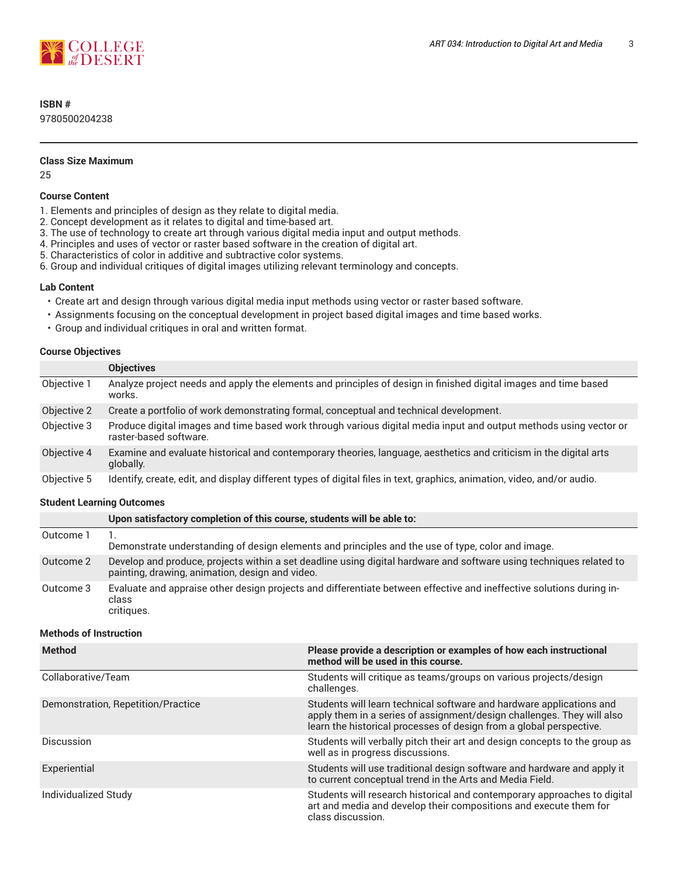

## **ISBN #**

9780500204238

#### **Class Size Maximum**

25

#### **Course Content**

- 1. Elements and principles of design as they relate to digital media.
- 2. Concept development as it relates to digital and time-based art.
- 3. The use of technology to create art through various digital media input and output methods.
- 4. Principles and uses of vector or raster based software in the creation of digital art.
- 5. Characteristics of color in additive and subtractive color systems.
- 6. Group and individual critiques of digital images utilizing relevant terminology and concepts.

#### **Lab Content**

- Create art and design through various digital media input methods using vector or raster based software.
- Assignments focusing on the conceptual development in project based digital images and time based works.
- Group and individual critiques in oral and written format.

#### **Course Objectives**

|             | <b>Objectives</b>                                                                                                                           |
|-------------|---------------------------------------------------------------------------------------------------------------------------------------------|
| Objective 1 | Analyze project needs and apply the elements and principles of design in finished digital images and time based<br>works.                   |
| Objective 2 | Create a portfolio of work demonstrating formal, conceptual and technical development.                                                      |
| Objective 3 | Produce digital images and time based work through various digital media input and output methods using vector or<br>raster-based software. |
| Objective 4 | Examine and evaluate historical and contemporary theories, language, aesthetics and criticism in the digital arts<br>globally.              |
| Objective 5 | Identify, create, edit, and display different types of digital files in text, graphics, animation, video, and/or audio.                     |

#### **Student Learning Outcomes**

|           | Upon satisfactory completion of this course, students will be able to:                                                                                                 |
|-----------|------------------------------------------------------------------------------------------------------------------------------------------------------------------------|
| Outcome 1 | Demonstrate understanding of design elements and principles and the use of type, color and image.                                                                      |
| Outcome 2 | Develop and produce, projects within a set deadline using digital hardware and software using techniques related to<br>painting, drawing, animation, design and video. |
| Outcome 3 | Evaluate and appraise other design projects and differentiate between effective and ineffective solutions during in-<br>class<br>critiques.                            |

#### **Methods of Instruction**

| <b>Method</b>                      | Please provide a description or examples of how each instructional<br>method will be used in this course.                                                                                                             |
|------------------------------------|-----------------------------------------------------------------------------------------------------------------------------------------------------------------------------------------------------------------------|
| Collaborative/Team                 | Students will critique as teams/groups on various projects/design<br>challenges.                                                                                                                                      |
| Demonstration, Repetition/Practice | Students will learn technical software and hardware applications and<br>apply them in a series of assignment/design challenges. They will also<br>learn the historical processes of design from a global perspective. |
| Discussion                         | Students will verbally pitch their art and design concepts to the group as<br>well as in progress discussions.                                                                                                        |
| Experiential                       | Students will use traditional design software and hardware and apply it<br>to current conceptual trend in the Arts and Media Field.                                                                                   |
| Individualized Study               | Students will research historical and contemporary approaches to digital<br>art and media and develop their compositions and execute them for<br>class discussion.                                                    |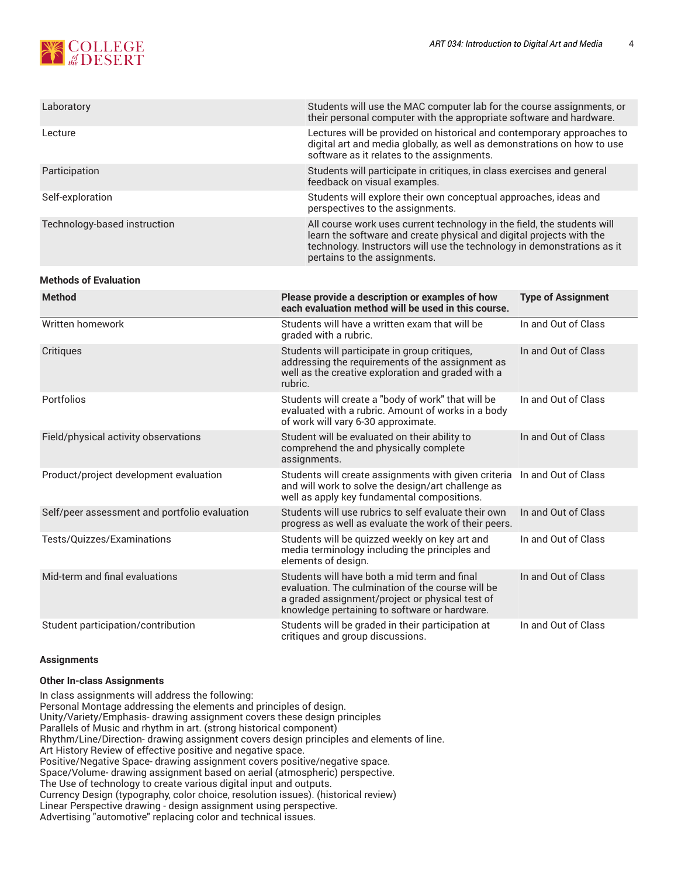# **SCOLLEGE**

| Laboratory                   | Students will use the MAC computer lab for the course assignments, or<br>their personal computer with the appropriate software and hardware.                                                                                                               |
|------------------------------|------------------------------------------------------------------------------------------------------------------------------------------------------------------------------------------------------------------------------------------------------------|
| Lecture                      | Lectures will be provided on historical and contemporary approaches to<br>digital art and media globally, as well as demonstrations on how to use<br>software as it relates to the assignments.                                                            |
| Participation                | Students will participate in critiques, in class exercises and general<br>feedback on visual examples.                                                                                                                                                     |
| Self-exploration             | Students will explore their own conceptual approaches, ideas and<br>perspectives to the assignments.                                                                                                                                                       |
| Technology-based instruction | All course work uses current technology in the field, the students will<br>learn the software and create physical and digital projects with the<br>technology. Instructors will use the technology in demonstrations as it<br>pertains to the assignments. |

#### **Methods of Evaluation**

| <b>Method</b>                                 | Please provide a description or examples of how<br>each evaluation method will be used in this course.                                                                                                | <b>Type of Assignment</b> |
|-----------------------------------------------|-------------------------------------------------------------------------------------------------------------------------------------------------------------------------------------------------------|---------------------------|
| Written homework                              | Students will have a written exam that will be<br>graded with a rubric.                                                                                                                               | In and Out of Class       |
| Critiques                                     | Students will participate in group critiques,<br>addressing the requirements of the assignment as<br>well as the creative exploration and graded with a<br>rubric.                                    | In and Out of Class       |
| Portfolios                                    | Students will create a "body of work" that will be<br>evaluated with a rubric. Amount of works in a body<br>of work will vary 6-30 approximate.                                                       | In and Out of Class       |
| Field/physical activity observations          | Student will be evaluated on their ability to<br>comprehend the and physically complete<br>assignments.                                                                                               | In and Out of Class       |
| Product/project development evaluation        | Students will create assignments with given criteria<br>and will work to solve the design/art challenge as<br>well as apply key fundamental compositions.                                             | In and Out of Class       |
| Self/peer assessment and portfolio evaluation | Students will use rubrics to self evaluate their own<br>progress as well as evaluate the work of their peers.                                                                                         | In and Out of Class       |
| Tests/Quizzes/Examinations                    | Students will be quizzed weekly on key art and<br>media terminology including the principles and<br>elements of design.                                                                               | In and Out of Class       |
| Mid-term and final evaluations                | Students will have both a mid term and final<br>evaluation. The culmination of the course will be<br>a graded assignment/project or physical test of<br>knowledge pertaining to software or hardware. | In and Out of Class       |
| Student participation/contribution            | Students will be graded in their participation at<br>critiques and group discussions.                                                                                                                 | In and Out of Class       |

#### **Assignments**

#### **Other In-class Assignments**

In class assignments will address the following: Personal Montage addressing the elements and principles of design. Unity/Variety/Emphasis- drawing assignment covers these design principles Parallels of Music and rhythm in art. (strong historical component) Rhythm/Line/Direction- drawing assignment covers design principles and elements of line. Art History Review of effective positive and negative space. Positive/Negative Space- drawing assignment covers positive/negative space. Space/Volume- drawing assignment based on aerial (atmospheric) perspective. The Use of technology to create various digital input and outputs. Currency Design (typography, color choice, resolution issues). (historical review) Linear Perspective drawing - design assignment using perspective. Advertising "automotive" replacing color and technical issues.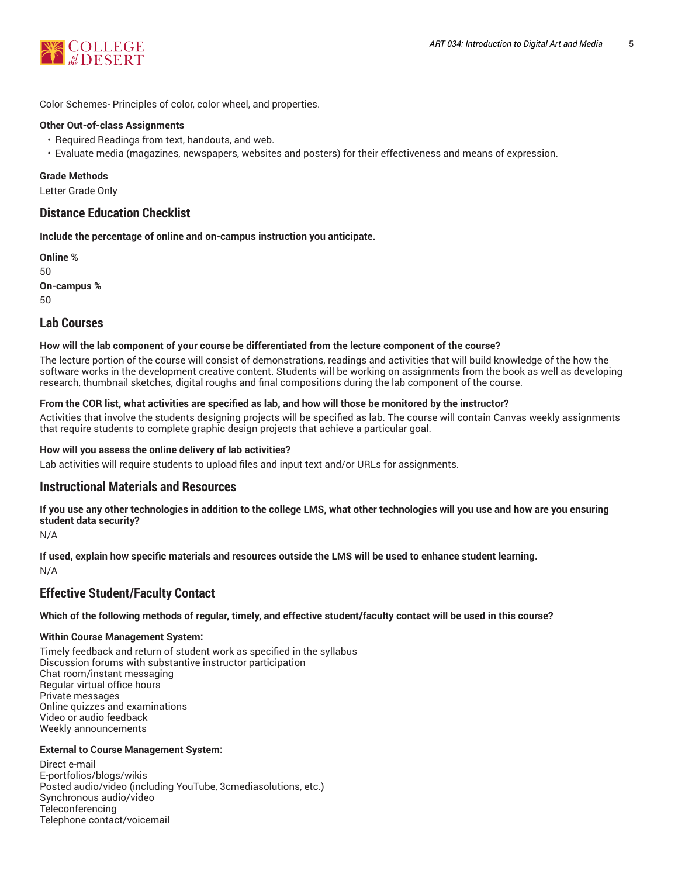

Color Schemes- Principles of color, color wheel, and properties.

#### **Other Out-of-class Assignments**

- Required Readings from text, handouts, and web.
- Evaluate media (magazines, newspapers, websites and posters) for their effectiveness and means of expression.

#### **Grade Methods**

Letter Grade Only

## **Distance Education Checklist**

**Include the percentage of online and on-campus instruction you anticipate.**

**Online %** 50 **On-campus %** 50

## **Lab Courses**

#### **How will the lab component of your course be differentiated from the lecture component of the course?**

The lecture portion of the course will consist of demonstrations, readings and activities that will build knowledge of the how the software works in the development creative content. Students will be working on assignments from the book as well as developing research, thumbnail sketches, digital roughs and final compositions during the lab component of the course.

#### From the COR list, what activities are specified as lab, and how will those be monitored by the instructor?

Activities that involve the students designing projects will be specified as lab. The course will contain Canvas weekly assignments that require students to complete graphic design projects that achieve a particular goal.

#### **How will you assess the online delivery of lab activities?**

Lab activities will require students to upload files and input text and/or URLs for assignments.

## **Instructional Materials and Resources**

If you use any other technologies in addition to the college LMS, what other technologies will you use and how are you ensuring **student data security?**

N/A

**If used, explain how specific materials and resources outside the LMS will be used to enhance student learning.** N/A

## **Effective Student/Faculty Contact**

Which of the following methods of regular, timely, and effective student/faculty contact will be used in this course?

#### **Within Course Management System:**

Timely feedback and return of student work as specified in the syllabus Discussion forums with substantive instructor participation Chat room/instant messaging Regular virtual office hours Private messages Online quizzes and examinations Video or audio feedback Weekly announcements

#### **External to Course Management System:**

Direct e-mail E-portfolios/blogs/wikis Posted audio/video (including YouTube, 3cmediasolutions, etc.) Synchronous audio/video Teleconferencing Telephone contact/voicemail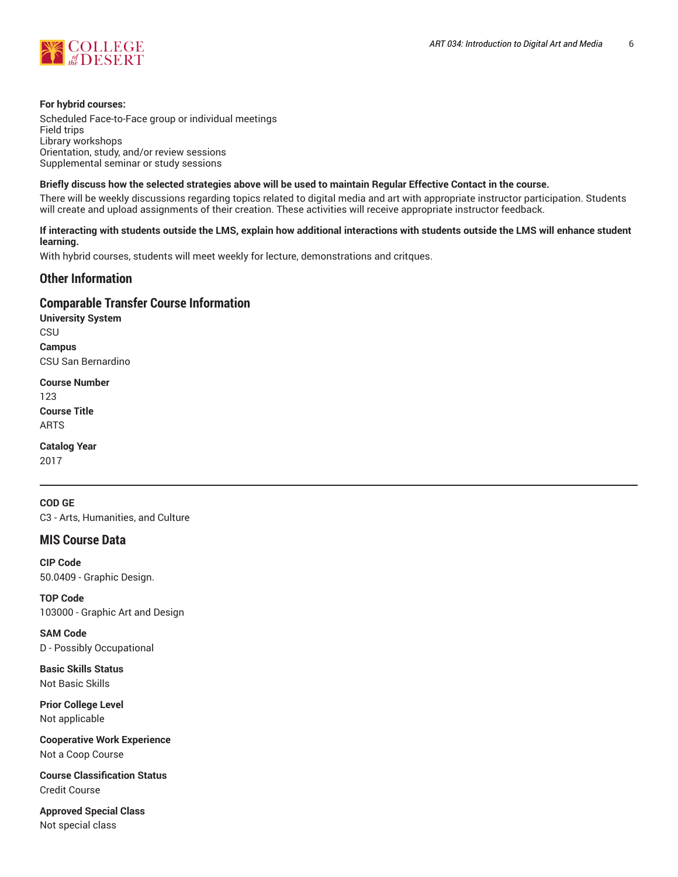

#### **For hybrid courses:**

Scheduled Face-to-Face group or individual meetings Field trips Library workshops Orientation, study, and/or review sessions Supplemental seminar or study sessions

#### Briefly discuss how the selected strategies above will be used to maintain Regular Effective Contact in the course.

There will be weekly discussions regarding topics related to digital media and art with appropriate instructor participation. Students will create and upload assignments of their creation. These activities will receive appropriate instructor feedback.

#### **If interacting with students outside the LMS, explain how additional interactions with students outside the LMS will enhance student learning.**

With hybrid courses, students will meet weekly for lecture, demonstrations and critques.

## **Other Information**

#### **Comparable Transfer Course Information**

**University System CSU Campus** CSU San Bernardino

**Course Number** 123 **Course Title** ARTS

**Catalog Year** 2017

**COD GE** C3 - Arts, Humanities, and Culture

## **MIS Course Data**

**CIP Code** 50.0409 - Graphic Design.

**TOP Code** 103000 - Graphic Art and Design

**SAM Code** D - Possibly Occupational

**Basic Skills Status** Not Basic Skills

**Prior College Level** Not applicable

**Cooperative Work Experience** Not a Coop Course

**Course Classification Status** Credit Course

**Approved Special Class** Not special class